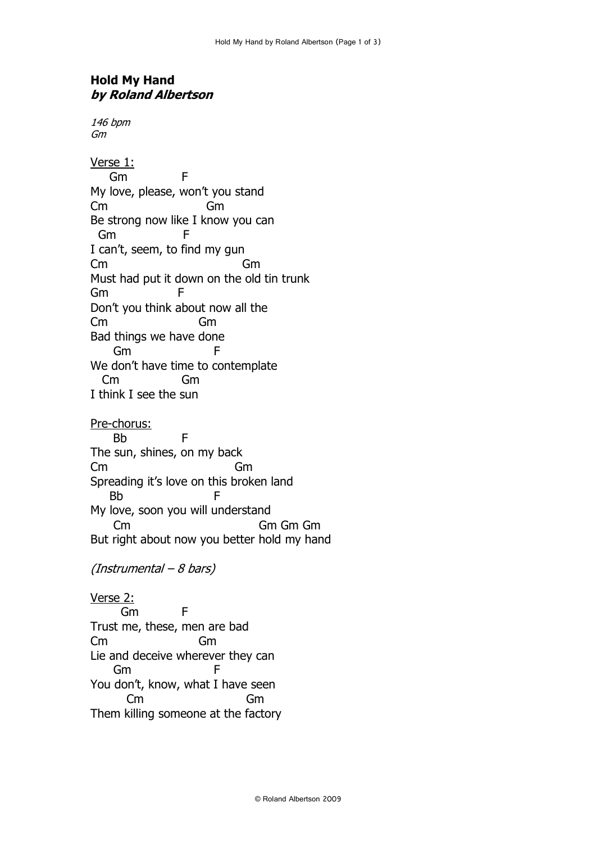## **Hold My Hand by Roland Albertson**

146 bpm Gm

Verse 1: Gm F My love, please, won't you stand Cm Gm Be strong now like I know you can Gm F I can't, seem, to find my gun Cm Gm Must had put it down on the old tin trunk Gm F Don't you think about now all the Cm Gm Bad things we have done Gm F We don't have time to contemplate Cm Gm I think I see the sun

Pre-chorus: Bb F The sun, shines, on my back Cm Gm Spreading it's love on this broken land Bb F My love, soon you will understand Cm Gm Gm Gm But right about now you better hold my hand

(Instrumental – 8 bars)

Verse 2: Gm F Trust me, these, men are bad Cm Gm Lie and deceive wherever they can Gm F You don't, know, what I have seen Cm Gm Them killing someone at the factory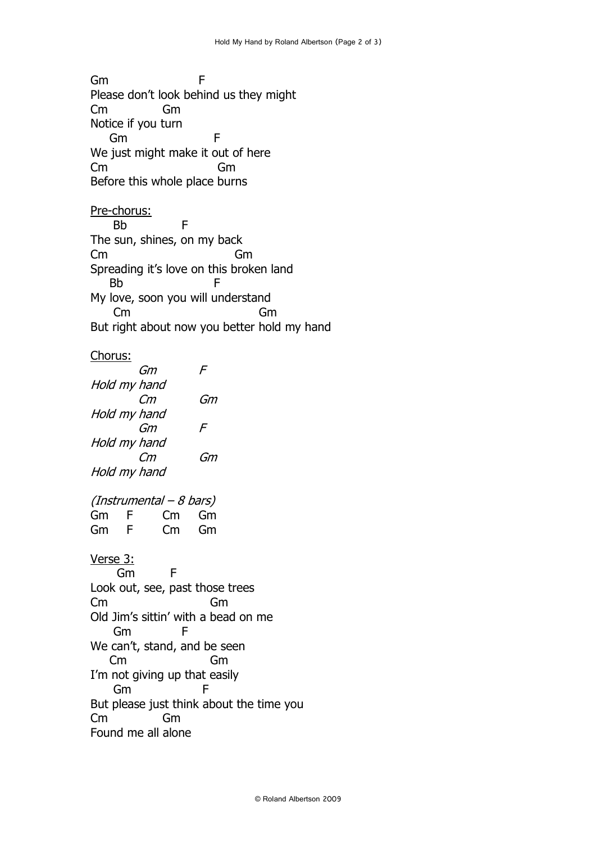Gm F Please don't look behind us they might Cm Gm Notice if you turn Gm F We just might make it out of here Cm Gm Before this whole place burns

Pre-chorus: Bb F The sun, shines, on my back Cm Gm Spreading it's love on this broken land Bb F My love, soon you will understand Cm Gm But right about now you better hold my hand

## Chorus:

 Gm F Hold my hand Cm Gm Hold my hand Gm F Hold my hand Cm Gm Hold my hand (Instrumental – 8 bars) Gm F Cm Gm Gm F Cm Gm Verse 3: Gm F Look out, see, past those trees Cm Gm Old Jim's sittin' with a bead on me Gm F We can't, stand, and be seen Cm Gm I'm not giving up that easily Gm F But please just think about the time you Cm Gm Found me all alone